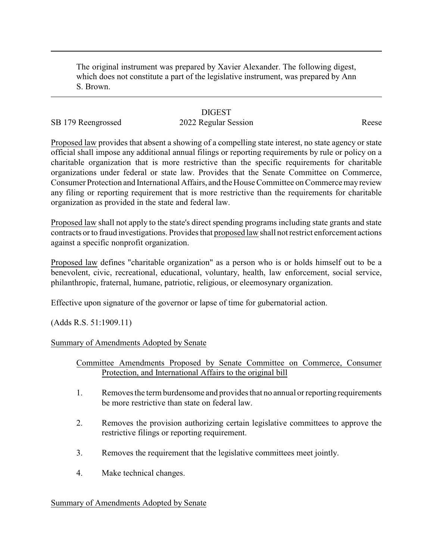The original instrument was prepared by Xavier Alexander. The following digest, which does not constitute a part of the legislative instrument, was prepared by Ann S. Brown.

## **DIGEST**

# SB 179 Reengrossed 2022 Regular Session Reese

Proposed law provides that absent a showing of a compelling state interest, no state agency or state official shall impose any additional annual filings or reporting requirements by rule or policy on a charitable organization that is more restrictive than the specific requirements for charitable organizations under federal or state law. Provides that the Senate Committee on Commerce, Consumer Protection and International Affairs, and the House Committee on Commerce mayreview any filing or reporting requirement that is more restrictive than the requirements for charitable organization as provided in the state and federal law.

Proposed law shall not apply to the state's direct spending programs including state grants and state contracts or to fraud investigations. Provides that proposed law shall not restrict enforcement actions against a specific nonprofit organization.

Proposed law defines "charitable organization" as a person who is or holds himself out to be a benevolent, civic, recreational, educational, voluntary, health, law enforcement, social service, philanthropic, fraternal, humane, patriotic, religious, or eleemosynary organization.

Effective upon signature of the governor or lapse of time for gubernatorial action.

(Adds R.S. 51:1909.11)

#### Summary of Amendments Adopted by Senate

### Committee Amendments Proposed by Senate Committee on Commerce, Consumer Protection, and International Affairs to the original bill

- 1. Removes the term burdensome and provides that no annual or reporting requirements be more restrictive than state on federal law.
- 2. Removes the provision authorizing certain legislative committees to approve the restrictive filings or reporting requirement.
- 3. Removes the requirement that the legislative committees meet jointly.
- 4. Make technical changes.

#### Summary of Amendments Adopted by Senate